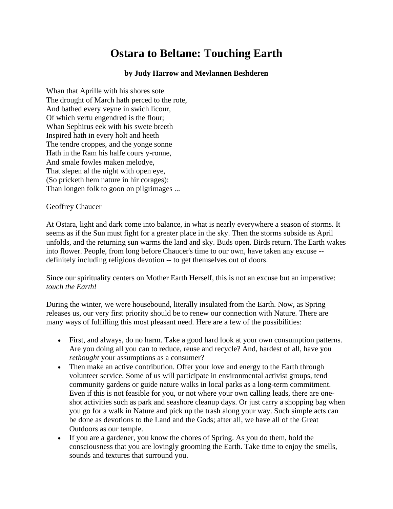## **Ostara to Beltane: Touching Earth**

## **by Judy Harrow and Mevlannen Beshderen**

Whan that Aprille with his shores sote The drought of March hath perced to the rote, And bathed every veyne in swich licour, Of which vertu engendred is the flour; Whan Sephirus eek with his swete breeth Inspired hath in every holt and heeth The tendre croppes, and the yonge sonne Hath in the Ram his halfe cours y-ronne, And smale fowles maken melodye, That slepen al the night with open eye, (So pricketh hem nature in hir corages): Than longen folk to goon on pilgrimages ...

## Geoffrey Chaucer

At Ostara, light and dark come into balance, in what is nearly everywhere a season of storms. It seems as if the Sun must fight for a greater place in the sky. Then the storms subside as April unfolds, and the returning sun warms the land and sky. Buds open. Birds return. The Earth wakes into flower. People, from long before Chaucer's time to our own, have taken any excuse - definitely including religious devotion -- to get themselves out of doors.

Since our spirituality centers on Mother Earth Herself, this is not an excuse but an imperative: *touch the Earth!*

During the winter, we were housebound, literally insulated from the Earth. Now, as Spring releases us, our very first priority should be to renew our connection with Nature. There are many ways of fulfilling this most pleasant need. Here are a few of the possibilities:

- First, and always, do no harm. Take a good hard look at your own consumption patterns. Are you doing all you can to reduce, reuse and recycle? And, hardest of all, have you *rethought* your assumptions as a consumer?
- Then make an active contribution. Offer your love and energy to the Earth through volunteer service. Some of us will participate in environmental activist groups, tend community gardens or guide nature walks in local parks as a long-term commitment. Even if this is not feasible for you, or not where your own calling leads, there are oneshot activities such as park and seashore cleanup days. Or just carry a shopping bag when you go for a walk in Nature and pick up the trash along your way. Such simple acts can be done as devotions to the Land and the Gods; after all, we have all of the Great Outdoors as our temple.
- If you are a gardener, you know the chores of Spring. As you do them, hold the consciousness that you are lovingly grooming the Earth. Take time to enjoy the smells, sounds and textures that surround you.